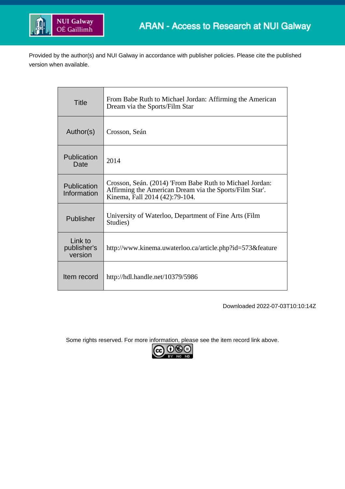

Provided by the author(s) and NUI Galway in accordance with publisher policies. Please cite the published version when available.

| Title                             | From Babe Ruth to Michael Jordan: Affirming the American<br>Dream via the Sports/Film Star                                                            |
|-----------------------------------|-------------------------------------------------------------------------------------------------------------------------------------------------------|
| Author(s)                         | Crosson, Seán                                                                                                                                         |
| Publication<br>Date               | 2014                                                                                                                                                  |
| Publication<br>Information        | Crosson, Seán. (2014) 'From Babe Ruth to Michael Jordan:<br>Affirming the American Dream via the Sports/Film Star'.<br>Kinema, Fall 2014 (42):79-104. |
| Publisher                         | University of Waterloo, Department of Fine Arts (Film<br>Studies)                                                                                     |
| Link to<br>publisher's<br>version | http://www.kinema.uwaterloo.ca/article.php?id=573&feature                                                                                             |
| Item record                       | http://hdl.handle.net/10379/5986                                                                                                                      |

Downloaded 2022-07-03T10:10:14Z

Some rights reserved. For more information, please see the item record link above.

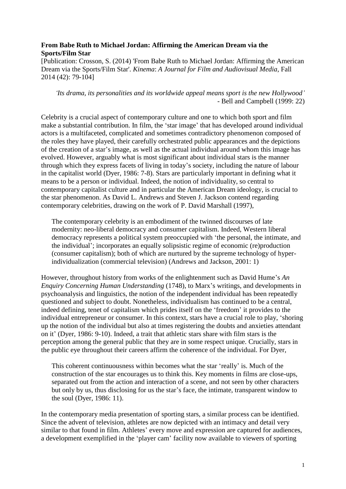# **From Babe Ruth to Michael Jordan: Affirming the American Dream via the Sports/Film Star**

[Publication: Crosson, S. (2014) 'From Babe Ruth to Michael Jordan: Affirming the American Dream via the Sports/Film Star'. *Kinema*: *A Journal for Film and Audiovisual Media*, Fall 2014 (42): 79-104]

### *'Its drama, its personalities and its worldwide appeal means sport is the new Hollywood'* - Bell and Campbell (1999: 22)

Celebrity is a crucial aspect of contemporary culture and one to which both sport and film make a substantial contribution. In film, the 'star image' that has developed around individual actors is a multifaceted, complicated and sometimes contradictory phenomenon composed of the roles they have played, their carefully orchestrated public appearances and the depictions of the creation of a star's image, as well as the actual individual around whom this image has evolved. However, arguably what is most significant about individual stars is the manner through which they express facets of living in today's society, including the nature of labour in the capitalist world (Dyer, 1986: 7-8). Stars are particularly important in defining what it means to be a person or individual. Indeed, the notion of individuality, so central to contemporary capitalist culture and in particular the American Dream ideology, is crucial to the star phenomenon. As David L. Andrews and Steven J. Jackson contend regarding contemporary celebrities, drawing on the work of P. David Marshall (1997),

The contemporary celebrity is an embodiment of the twinned discourses of late modernity: neo-liberal democracy and consumer capitalism. Indeed, Western liberal democracy represents a political system preoccupied with 'the personal, the intimate, and the individual'; incorporates an equally solipsistic regime of economic (re)production (consumer capitalism); both of which are nurtured by the supreme technology of hyperindividualization (commercial television) (Andrews and Jackson, 2001: 1)

However, throughout history from works of the enlightenment such as David Hume's *An Enquiry Concerning Human Understanding* (1748), to Marx's writings, and developments in psychoanalysis and linguistics, the notion of the independent individual has been repeatedly questioned and subject to doubt. Nonetheless, individualism has continued to be a central, indeed defining, tenet of capitalism which prides itself on the 'freedom' it provides to the individual entrepreneur or consumer. In this context, stars have a crucial role to play, 'shoring up the notion of the individual but also at times registering the doubts and anxieties attendant on it' (Dyer, 1986: 9-10). Indeed, a trait that athletic stars share with film stars is the perception among the general public that they are in some respect unique. Crucially, stars in the public eye throughout their careers affirm the coherence of the individual. For Dyer,

This coherent continuousness within becomes what the star 'really' is. Much of the construction of the star encourages us to think this. Key moments in films are close-ups, separated out from the action and interaction of a scene, and not seen by other characters but only by us, thus disclosing for us the star's face, the intimate, transparent window to the soul (Dyer, 1986: 11).

In the contemporary media presentation of sporting stars, a similar process can be identified. Since the advent of television, athletes are now depicted with an intimacy and detail very similar to that found in film. Athletes' every move and expression are captured for audiences, a development exemplified in the 'player cam' facility now available to viewers of sporting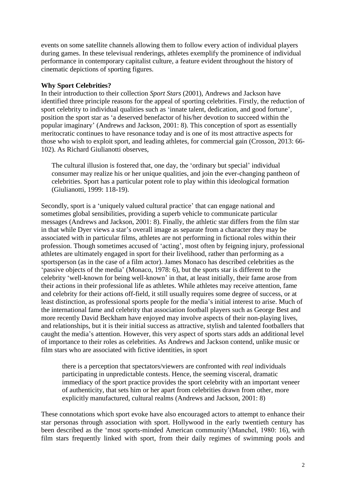events on some satellite channels allowing them to follow every action of individual players during games. In these televisual renderings, athletes exemplify the prominence of individual performance in contemporary capitalist culture, a feature evident throughout the history of cinematic depictions of sporting figures.

## **Why Sport Celebrities?**

In their introduction to their collection *Sport Stars* (2001), Andrews and Jackson have identified three principle reasons for the appeal of sporting celebrities. Firstly, the reduction of sport celebrity to individual qualities such as 'innate talent, dedication, and good fortune', position the sport star as 'a deserved benefactor of his/her devotion to succeed within the popular imaginary' (Andrews and Jackson, 2001: 8). This conception of sport as essentially meritocratic continues to have resonance today and is one of its most attractive aspects for those who wish to exploit sport, and leading athletes, for commercial gain (Crosson, 2013: 66- 102). As Richard Giulianotti observes,

The cultural illusion is fostered that, one day, the 'ordinary but special' individual consumer may realize his or her unique qualities, and join the ever-changing pantheon of celebrities. Sport has a particular potent role to play within this ideological formation (Giulianotti, 1999: 118-19).

Secondly, sport is a 'uniquely valued cultural practice' that can engage national and sometimes global sensibilities, providing a superb vehicle to communicate particular messages (Andrews and Jackson, 2001: 8). Finally, the athletic star differs from the film star in that while Dyer views a star's overall image as separate from a character they may be associated with in particular films, athletes are not performing in fictional roles within their profession. Though sometimes accused of 'acting', most often by feigning injury, professional athletes are ultimately engaged in sport for their livelihood, rather than performing as a sportsperson (as in the case of a film actor). James Monaco has described celebrities as the 'passive objects of the media' (Monaco, 1978: 6), but the sports star is different to the celebrity 'well-known for being well-known' in that, at least initially, their fame arose from their actions in their professional life as athletes. While athletes may receive attention, fame and celebrity for their actions off-field, it still usually requires some degree of success, or at least distinction, as professional sports people for the media's initial interest to arise. Much of the international fame and celebrity that association football players such as George Best and more recently David Beckham have enjoyed may involve aspects of their non-playing lives, and relationships, but it is their initial success as attractive, stylish and talented footballers that caught the media's attention. However, this very aspect of sports stars adds an additional level of importance to their roles as celebrities. As Andrews and Jackson contend, unlike music or film stars who are associated with fictive identities, in sport

there is a perception that spectators/viewers are confronted with *real* individuals participating in unpredictable contests. Hence, the seeming visceral, dramatic immediacy of the sport practice provides the sport celebrity with an important veneer of authenticity, that sets him or her apart from celebrities drawn from other, more explicitly manufactured, cultural realms (Andrews and Jackson, 2001: 8)

These connotations which sport evoke have also encouraged actors to attempt to enhance their star personas through association with sport. Hollywood in the early twentieth century has been described as the 'most sports-minded American community'(Manchel, 1980: 16), with film stars frequently linked with sport, from their daily regimes of swimming pools and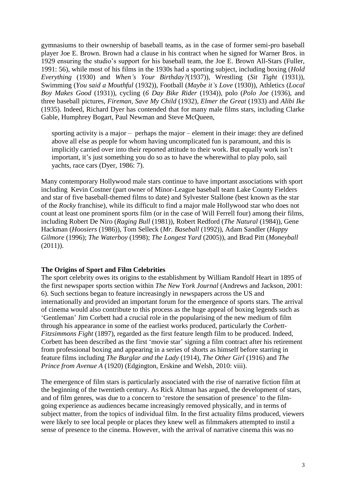gymnasiums to their ownership of baseball teams, as in the case of former semi-pro baseball player Joe E. Brown. Brown had a clause in his contract when he signed for Warner Bros. in 1929 ensuring the studio's support for his baseball team, the Joe E. Brown All-Stars (Fuller, 1991: 56), while most of his films in the 1930s had a sporting subject, including boxing (*Hold Everything* (1930) and *When's Your Birthday?*(1937)), Wrestling (*Sit Tight* (1931)), Swimming (*You said a Mouthful* (1932)), Football (*Maybe it's Love* (1930)), Athletics (*Local Boy Makes Good* (1931)), cycling (*6 Day Bike Rider* (1934)), polo (*Polo Joe* (1936), and three baseball pictures, *Fireman, Save My Child* (1932), *Elmer the Great* (1933) and *Alibi Ike* (1935). Indeed, Richard Dyer has contended that for many male films stars, including Clarke Gable, Humphrey Bogart, Paul Newman and Steve McQueen,

sporting activity is a major – perhaps the major – element in their image: they are defined above all else as people for whom having uncomplicated fun is paramount, and this is implicitly carried over into their reported attitude to their work. But equally work isn't important, it's just something you do so as to have the wherewithal to play polo, sail yachts, race cars (Dyer, 1986: 7).

Many contemporary Hollywood male stars continue to have important associations with sport including Kevin Costner (part owner of Minor-League baseball team Lake County Fielders and star of five baseball-themed films to date) and Sylvester Stallone (best known as the star of the *Rocky* franchise), while its difficult to find a major male Hollywood star who does not count at least one prominent sports film (or in the case of Will Ferrell four) among their films, including Robert De Niro (*Raging Bull* (1981)), Robert Redford (*The Natural* (1984)), Gene Hackman (*Hoosiers* (1986)), Tom Selleck (*Mr. Baseball* (1992)), Adam Sandler (*Happy Gilmore* (1996); *The Waterboy* (1998); *The Longest Yard* (2005)), and Brad Pitt (*Moneyball*  $(2011)$ ).

### **The Origins of Sport and Film Celebrities**

The sport celebrity owes its origins to the establishment by William Randolf Heart in 1895 of the first newspaper sports section within *The New York Journal* (Andrews and Jackson, 2001: 6). Such sections began to feature increasingly in newspapers across the US and internationally and provided an important forum for the emergence of sports stars. The arrival of cinema would also contribute to this process as the huge appeal of boxing legends such as 'Gentleman' Jim Corbett had a crucial role in the popularising of the new medium of film through his appearance in some of the earliest works produced, particularly the *Corbett-Fitzsimmons Fight* (1897), regarded as the first feature length film to be produced. Indeed, Corbett has been described as the first 'movie star' signing a film contract after his retirement from professional boxing and appearing in a series of shorts as himself before starring in feature films including *The Burglar and the Lady* (1914), *The Other Girl* (1916) and *The Prince from Avenue A* (1920) (Edgington, Erskine and Welsh, 2010: viii).

The emergence of film stars is particularly associated with the rise of narrative fiction film at the beginning of the twentieth century. As Rick Altman has argued, the development of stars, and of film genres, was due to a concern to 'restore the sensation of presence' to the filmgoing experience as audiences became increasingly removed physically, and in terms of subject matter, from the topics of individual film. In the first actuality films produced, viewers were likely to see local people or places they knew well as filmmakers attempted to instil a sense of presence to the cinema. However, with the arrival of narrative cinema this was no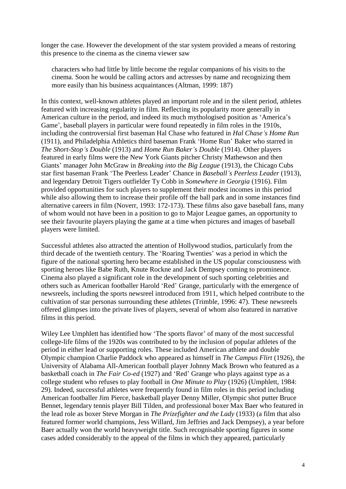longer the case. However the development of the star system provided a means of restoring this presence to the cinema as the cinema viewer saw

characters who had little by little become the regular companions of his visits to the cinema. Soon he would be calling actors and actresses by name and recognizing them more easily than his business acquaintances (Altman, 1999: 187)

In this context, well-known athletes played an important role and in the silent period, athletes featured with increasing regularity in film. Reflecting its popularity more generally in American culture in the period, and indeed its much mythologised position as 'America's Game', baseball players in particular were found repeatedly in film roles in the 1910s, including the controversial first baseman Hal Chase who featured in *Hal Chase's Home Run* (1911), and Philadelphia Athletics third baseman Frank 'Home Run' Baker who starred in *The Short-Stop's Double* (1913) and *Home Run Baker's Double* (1914). Other players featured in early films were the New York Giants pitcher Christy Mathewson and then Giants' manager John McGraw in *Breaking into the Big League* (1913), the Chicago Cubs star first baseman Frank 'The Peerless Leader' Chance in *Baseball's Peerless Leader* (1913), and legendary Detroit Tigers outfielder Ty Cobb in *Somewhere in Georgia* (1916). Film provided opportunities for such players to supplement their modest incomes in this period while also allowing them to increase their profile off the ball park and in some instances find alternative careers in film (Noverr, 1993: 172-173). These films also gave baseball fans, many of whom would not have been in a position to go to Major League games, an opportunity to see their favourite players playing the game at a time when pictures and images of baseball players were limited.

Successful athletes also attracted the attention of Hollywood studios, particularly from the third decade of the twentieth century. The 'Roaring Twenties' was a period in which the figure of the national sporting hero became established in the US popular consciousness with sporting heroes like Babe Ruth, Knute Rockne and Jack Dempsey coming to prominence. Cinema also played a significant role in the development of such sporting celebrities and others such as American footballer Harold 'Red' Grange, particularly with the emergence of newsreels, including the sports newsreel introduced from 1911, which helped contribute to the cultivation of star personas surrounding these athletes (Trimble, 1996: 47). These newsreels offered glimpses into the private lives of players, several of whom also featured in narrative films in this period.

Wiley Lee Umphlett has identified how 'The sports flavor' of many of the most successful college-life films of the 1920s was contributed to by the inclusion of popular athletes of the period in either lead or supporting roles. These included American athlete and double Olympic champion Charlie Paddock who appeared as himself in *The Campus Flirt* (1926), the University of Alabama All-American football player Johnny Mack Brown who featured as a basketball coach in *The Fair Co-ed* (1927) and 'Red' Grange who plays against type as a college student who refuses to play football in *One Minute to Play* (1926) (Umphlett, 1984: 29). Indeed, successful athletes were frequently found in film roles in this period including American footballer Jim Pierce, basketball player Denny Miller, Olympic shot putter Bruce Bennet, legendary tennis player Bill Tilden, and professional boxer Max Baer who featured in the lead role as boxer Steve Morgan in *The Prizefighter and the Lady* (1933) (a film that also featured former world champions, Jess Willard, Jim Jeffries and Jack Dempsey), a year before Baer actually won the world heavyweight title. Such recognisable sporting figures in some cases added considerably to the appeal of the films in which they appeared, particularly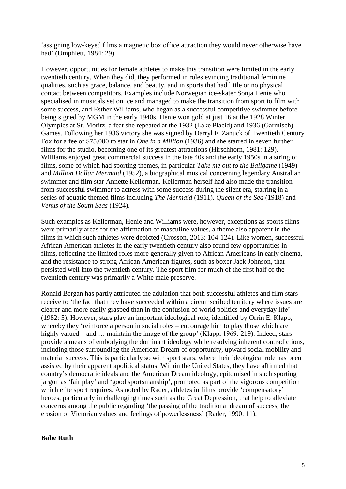'assigning low-keyed films a magnetic box office attraction they would never otherwise have had' (Umphlett, 1984: 29).

However, opportunities for female athletes to make this transition were limited in the early twentieth century. When they did, they performed in roles evincing traditional feminine qualities, such as grace, balance, and beauty, and in sports that had little or no physical contact between competitors. Examples include Norwegian ice-skater Sonja Henie who specialised in musicals set on ice and managed to make the transition from sport to film with some success, and Esther Williams, who began as a successful competitive swimmer before being signed by MGM in the early 1940s. Henie won gold at just 16 at the 1928 Winter Olympics at St. Moritz, a feat she repeated at the 1932 (Lake Placid) and 1936 (Garmisch) Games. Following her 1936 victory she was signed by Darryl F. Zanuck of Twentieth Century Fox for a fee of \$75,000 to star in *One in a Million* (1936) and she starred in seven further films for the studio, becoming one of its greatest attractions (Hirschhorn, 1981: 129). Williams enjoyed great commercial success in the late 40s and the early 1950s in a string of films, some of which had sporting themes, in particular *Take me out to the Ballgame* (1949) and *Million Dollar Mermaid* (1952), a biographical musical concerning legendary Australian swimmer and film star Annette Kellerman. Kellerman herself had also made the transition from successful swimmer to actress with some success during the silent era, starring in a series of aquatic themed films including *The Mermaid* (1911), *Queen of the Sea* (1918) and *Venus of the South Seas* (1924).

Such examples as Kellerman, Henie and Williams were, however, exceptions as sports films were primarily areas for the affirmation of masculine values, a theme also apparent in the films in which such athletes were depicted (Crosson, 2013: 104-124). Like women, successful African American athletes in the early twentieth century also found few opportunities in films, reflecting the limited roles more generally given to African Americans in early cinema, and the resistance to strong African American figures, such as boxer Jack Johnson, that persisted well into the twentieth century. The sport film for much of the first half of the twentieth century was primarily a White male preserve.

Ronald Bergan has partly attributed the adulation that both successful athletes and film stars receive to 'the fact that they have succeeded within a circumscribed territory where issues are clearer and more easily grasped than in the confusion of world politics and everyday life' (1982: 5). However, stars play an important ideological role, identified by Orrin E. Klapp, whereby they 'reinforce a person in social roles – encourage him to play those which are highly valued – and ... maintain the image of the group' (Klapp, 1969: 219). Indeed, stars provide a means of embodying the dominant ideology while resolving inherent contradictions, including those surrounding the American Dream of opportunity, upward social mobility and material success. This is particularly so with sport stars, where their ideological role has been assisted by their apparent apolitical status. Within the United States, they have affirmed that country's democratic ideals and the American Dream ideology, epitomised in such sporting jargon as 'fair play' and 'good sportsmanship', promoted as part of the vigorous competition which elite sport requires. As noted by Rader, athletes in films provide 'compensatory' heroes, particularly in challenging times such as the Great Depression, that help to alleviate concerns among the public regarding 'the passing of the traditional dream of success, the erosion of Victorian values and feelings of powerlessness' (Rader, 1990: 11).

#### **Babe Ruth**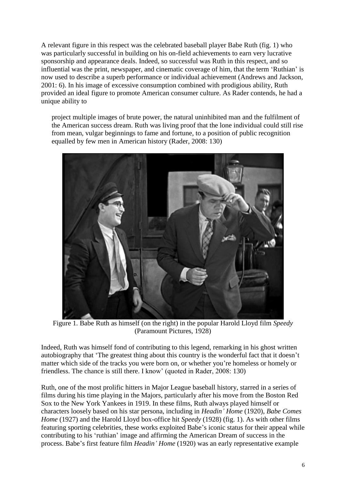A relevant figure in this respect was the celebrated baseball player Babe Ruth (fig. 1) who was particularly successful in building on his on-field achievements to earn very lucrative sponsorship and appearance deals. Indeed, so successful was Ruth in this respect, and so influential was the print, newspaper, and cinematic coverage of him, that the term 'Ruthian' is now used to describe a superb performance or individual achievement (Andrews and Jackson, 2001: 6). In his image of excessive consumption combined with prodigious ability, Ruth provided an ideal figure to promote American consumer culture. As Rader contends, he had a unique ability to

project multiple images of brute power, the natural uninhibited man and the fulfilment of the American success dream. Ruth was living proof that the lone individual could still rise from mean, vulgar beginnings to fame and fortune, to a position of public recognition equalled by few men in American history (Rader, 2008: 130)



Figure 1. Babe Ruth as himself (on the right) in the popular Harold Lloyd film *Speedy* (Paramount Pictures, 1928)

Indeed, Ruth was himself fond of contributing to this legend, remarking in his ghost written autobiography that 'The greatest thing about this country is the wonderful fact that it doesn't matter which side of the tracks you were born on, or whether you're homeless or homely or friendless. The chance is still there. I know' (quoted in Rader, 2008: 130)

Ruth, one of the most prolific hitters in Major League baseball history, starred in a series of films during his time playing in the Majors, particularly after his move from the Boston Red Sox to the New York Yankees in 1919. In these films, Ruth always played himself or characters loosely based on his star persona, including in *Headin' Home* (1920), *Babe Comes Home* (1927) and the Harold Lloyd box-office hit *Speedy* (1928) (fig. 1). As with other films featuring sporting celebrities, these works exploited Babe's iconic status for their appeal while contributing to his 'ruthian' image and affirming the American Dream of success in the process. Babe's first feature film *Headin' Home* (1920) was an early representative example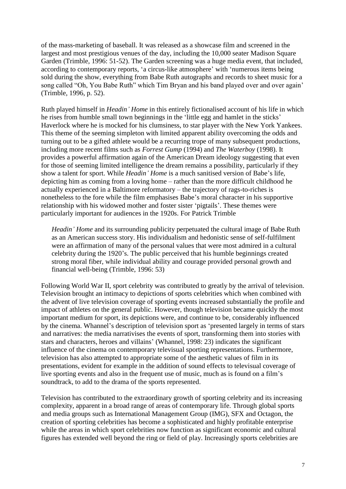of the mass-marketing of baseball. It was released as a showcase film and screened in the largest and most prestigious venues of the day, including the 10,000 seater Madison Square Garden (Trimble, 1996: 51-52). The Garden screening was a huge media event, that included, according to contemporary reports, 'a circus-like atmosphere' with 'numerous items being sold during the show, everything from Babe Ruth autographs and records to sheet music for a song called "Oh, You Babe Ruth" which Tim Bryan and his band played over and over again' (Trimble, 1996, p. 52).

Ruth played himself in *Headin' Home* in this entirely fictionalised account of his life in which he rises from humble small town beginnings in the 'little egg and hamlet in the sticks' Haverlock where he is mocked for his clumsiness, to star player with the New York Yankees. This theme of the seeming simpleton with limited apparent ability overcoming the odds and turning out to be a gifted athlete would be a recurring trope of many subsequent productions, including more recent films such as *Forrest Gump* (1994) and *The Waterboy* (1998). It provides a powerful affirmation again of the American Dream ideology suggesting that even for those of seeming limited intelligence the dream remains a possibility, particularly if they show a talent for sport. While *Headin' Home* is a much sanitised version of Babe's life, depicting him as coming from a loving home – rather than the more difficult childhood he actually experienced in a Baltimore reformatory – the trajectory of rags-to-riches is nonetheless to the fore while the film emphasises Babe's moral character in his supportive relationship with his widowed mother and foster sister 'pigtails'. These themes were particularly important for audiences in the 1920s. For Patrick Trimble

*Headin' Home* and its surrounding publicity perpetuated the cultural image of Babe Ruth as an American success story. His individualism and hedonistic sense of self-fulfilment were an affirmation of many of the personal values that were most admired in a cultural celebrity during the 1920's. The public perceived that his humble beginnings created strong moral fiber, while individual ability and courage provided personal growth and financial well-being (Trimble, 1996: 53)

Following World War II, sport celebrity was contributed to greatly by the arrival of television. Television brought an intimacy to depictions of sports celebrities which when combined with the advent of live television coverage of sporting events increased substantially the profile and impact of athletes on the general public. However, though television became quickly the most important medium for sport, its depictions were, and continue to be, considerably influenced by the cinema. Whannel's description of television sport as 'presented largely in terms of stars and narratives: the media narrativises the events of sport, transforming them into stories with stars and characters, heroes and villains' (Whannel, 1998: 23) indicates the significant influence of the cinema on contemporary televisual sporting representations. Furthermore, television has also attempted to appropriate some of the aesthetic values of film in its presentations, evident for example in the addition of sound effects to televisual coverage of live sporting events and also in the frequent use of music, much as is found on a film's soundtrack, to add to the drama of the sports represented.

Television has contributed to the extraordinary growth of sporting celebrity and its increasing complexity, apparent in a broad range of areas of contemporary life. Through global sports and media groups such as International Management Group (IMG), SFX and Octagon, the creation of sporting celebrities has become a sophisticated and highly profitable enterprise while the areas in which sport celebrities now function as significant economic and cultural figures has extended well beyond the ring or field of play. Increasingly sports celebrities are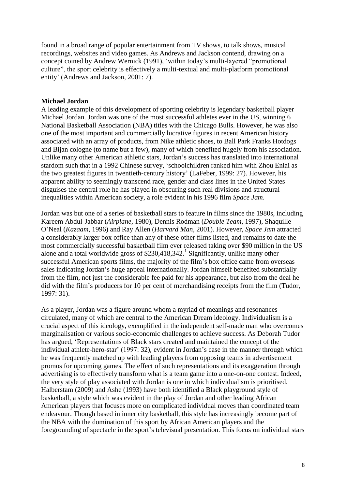found in a broad range of popular entertainment from TV shows, to talk shows, musical recordings, websites and video games. As Andrews and Jackson contend, drawing on a concept coined by Andrew Wernick (1991), 'within today's multi-layered "promotional culture", the sport celebrity is effectively a multi-textual and multi-platform promotional entity' (Andrews and Jackson, 2001: 7).

### **Michael Jordan**

A leading example of this development of sporting celebrity is legendary basketball player Michael Jordan. Jordan was one of the most successful athletes ever in the US, winning 6 National Basketball Association (NBA) titles with the Chicago Bulls. However, he was also one of the most important and commercially lucrative figures in recent American history associated with an array of products, from Nike athletic shoes, to Ball Park Franks Hotdogs and Bijan cologne (to name but a few), many of which benefited hugely from his association. Unlike many other American athletic stars, Jordan's success has translated into international stardom such that in a 1992 Chinese survey, 'schoolchildren ranked him with Zhou Enlai as the two greatest figures in twentieth-century history' (LaFeber, 1999: 27). However, his apparent ability to seemingly transcend race, gender and class lines in the United States disguises the central role he has played in obscuring such real divisions and structural inequalities within American society, a role evident in his 1996 film *Space Jam*.

Jordan was but one of a series of basketball stars to feature in films since the 1980s, including Kareem Abdul-Jabbar (*Airplane*, 1980), Dennis Rodman (*Double Team*, 1997), Shaquille O'Neal (*Kazaam*, 1996) and Ray Allen (*Harvard Man*, 2001). However, *Space Jam* attracted a considerably larger box office than any of these other films listed, and remains to date the most commercially successful basketball film ever released taking over \$90 million in the US alone and a total worldwide gross of  $$230,418,342$ .<sup>1</sup> Significantly, unlike many other successful American sports films, the majority of the film's box office came from overseas sales indicating Jordan's huge appeal internationally. Jordan himself benefited substantially from the film, not just the considerable fee paid for his appearance, but also from the deal he did with the film's producers for 10 per cent of merchandising receipts from the film (Tudor, 1997: 31).

As a player, Jordan was a figure around whom a myriad of meanings and resonances circulated, many of which are central to the American Dream ideology. Individualism is a crucial aspect of this ideology, exemplified in the independent self-made man who overcomes marginalisation or various socio-economic challenges to achieve success. As Deborah Tudor has argued, 'Representations of Black stars created and maintained the concept of the individual athlete-hero-star' (1997: 32), evident in Jordan's case in the manner through which he was frequently matched up with leading players from opposing teams in advertisement promos for upcoming games. The effect of such representations and its exaggeration through advertising is to effectively transform what is a team game into a one-on-one contest. Indeed, the very style of play associated with Jordan is one in which individualism is prioritised. Halberstam (2009) and Ashe (1993) have both identified a Black playground style of basketball, a style which was evident in the play of Jordan and other leading African American players that focuses more on complicated individual moves than coordinated team endeavour. Though based in inner city basketball, this style has increasingly become part of the NBA with the domination of this sport by African American players and the foregrounding of spectacle in the sport's televisual presentation. This focus on individual stars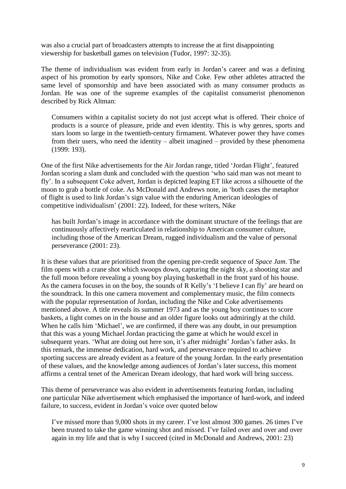was also a crucial part of broadcasters attempts to increase the at first disappointing viewership for basketball games on television (Tudor, 1997: 32-35).

The theme of individualism was evident from early in Jordan's career and was a defining aspect of his promotion by early sponsors, Nike and Coke. Few other athletes attracted the same level of sponsorship and have been associated with as many consumer products as Jordan. He was one of the supreme examples of the capitalist consumerist phenomenon described by Rick Altman:

Consumers within a capitalist society do not just accept what is offered. Their choice of products is a source of pleasure, pride and even identity. This is why genres, sports and stars loom so large in the twentieth-century firmament. Whatever power they have comes from their users, who need the identity – albeit imagined – provided by these phenomena (1999: 193).

One of the first Nike advertisements for the Air Jordan range, titled 'Jordan Flight', featured Jordan scoring a slam dunk and concluded with the question 'who said man was not meant to fly'. In a subsequent Coke advert, Jordan is depicted leaping ET like across a silhouette of the moon to grab a bottle of coke. As McDonald and Andrews note, in 'both cases the metaphor of flight is used to link Jordan's sign value with the enduring American ideologies of competitive individualism' (2001: 22). Indeed, for these writers, Nike

has built Jordan's image in accordance with the dominant structure of the feelings that are continuously affectively rearticulated in relationship to American consumer culture, including those of the American Dream, rugged individualism and the value of personal perseverance (2001: 23).

It is these values that are prioritised from the opening pre-credit sequence of *Space Jam*. The film opens with a crane shot which swoops down, capturing the night sky, a shooting star and the full moon before revealing a young boy playing basketball in the front yard of his house. As the camera focuses in on the boy, the sounds of R Kelly's 'I believe I can fly' are heard on the soundtrack. In this one camera movement and complementary music, the film connects with the popular representation of Jordan, including the Nike and Coke advertisements mentioned above. A title reveals its summer 1973 and as the young boy continues to score baskets, a light comes on in the house and an older figure looks out admiringly at the child. When he calls him 'Michael', we are confirmed, if there was any doubt, in our presumption that this was a young Michael Jordan practicing the game at which he would excel in subsequent years. 'What are doing out here son, it's after midnight' Jordan's father asks. In this remark, the immense dedication, hard work, and perseverance required to achieve sporting success are already evident as a feature of the young Jordan. In the early presentation of these values, and the knowledge among audiences of Jordan's later success, this moment affirms a central tenet of the American Dream ideology, that hard work will bring success.

This theme of perseverance was also evident in advertisements featuring Jordan, including one particular Nike advertisement which emphasised the importance of hard-work, and indeed failure, to success, evident in Jordan's voice over quoted below

I've missed more than 9,000 shots in my career. I've lost almost 300 games. 26 times I've been trusted to take the game winning shot and missed. I've failed over and over and over again in my life and that is why I succeed (cited in McDonald and Andrews, 2001: 23)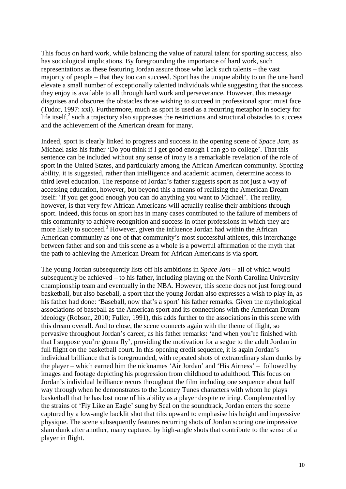This focus on hard work, while balancing the value of natural talent for sporting success, also has sociological implications. By foregrounding the importance of hard work, such representations as these featuring Jordan assure those who lack such talents – the vast majority of people – that they too can succeed. Sport has the unique ability to on the one hand elevate a small number of exceptionally talented individuals while suggesting that the success they enjoy is available to all through hard work and perseverance. However, this message disguises and obscures the obstacles those wishing to succeed in professional sport must face (Tudor, 1997: xxi). Furthermore, much as sport is used as a recurring metaphor in society for life itself,<sup>2</sup> such a trajectory also suppresses the restrictions and structural obstacles to success and the achievement of the American dream for many.

Indeed, sport is clearly linked to progress and success in the opening scene of *Space Jam*, as Michael asks his father 'Do you think if I get good enough I can go to college'. That this sentence can be included without any sense of irony is a remarkable revelation of the role of sport in the United States, and particularly among the African American community. Sporting ability, it is suggested, rather than intelligence and academic acumen, determine access to third level education. The response of Jordan's father suggests sport as not just a way of accessing education, however, but beyond this a means of realising the American Dream itself: 'If you get good enough you can do anything you want to Michael'. The reality, however, is that very few African Americans will actually realise their ambitions through sport. Indeed, this focus on sport has in many cases contributed to the failure of members of this community to achieve recognition and success in other professions in which they are more likely to succeed.<sup>3</sup> However, given the influence Jordan had within the African American community as one of that community's most successful athletes, this interchange between father and son and this scene as a whole is a powerful affirmation of the myth that the path to achieving the American Dream for African Americans is via sport.

The young Jordan subsequently lists off his ambitions in *Space Jam* – all of which would subsequently be achieved – to his father, including playing on the North Carolina University championship team and eventually in the NBA. However, this scene does not just foreground basketball, but also baseball, a sport that the young Jordan also expresses a wish to play in, as his father had done: 'Baseball, now that's a sport' his father remarks. Given the mythological associations of baseball as the American sport and its connections with the American Dream ideology (Robson, 2010; Fuller, 1991), this adds further to the associations in this scene with this dream overall. And to close, the scene connects again with the theme of flight, so pervasive throughout Jordan's career, as his father remarks: 'and when you're finished with that I suppose you're gonna fly', providing the motivation for a segue to the adult Jordan in full flight on the basketball court. In this opening credit sequence, it is again Jordan's individual brilliance that is foregrounded, with repeated shots of extraordinary slam dunks by the player – which earned him the nicknames 'Air Jordan' and 'His Airness' – followed by images and footage depicting his progression from childhood to adulthood. This focus on Jordan's individual brilliance recurs throughout the film including one sequence about half way through when he demonstrates to the Looney Tunes characters with whom he plays basketball that he has lost none of his ability as a player despite retiring. Complemented by the strains of 'Fly Like an Eagle' sung by Seal on the soundtrack, Jordan enters the scene captured by a low-angle backlit shot that tilts upward to emphasise his height and impressive physique. The scene subsequently features recurring shots of Jordan scoring one impressive slam dunk after another, many captured by high-angle shots that contribute to the sense of a player in flight.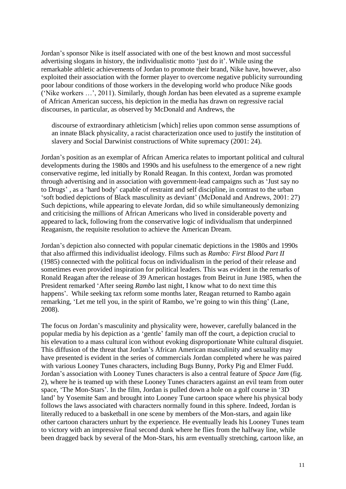Jordan's sponsor Nike is itself associated with one of the best known and most successful advertising slogans in history, the individualistic motto 'just do it'. While using the remarkable athletic achievements of Jordan to promote their brand, Nike have, however, also exploited their association with the former player to overcome negative publicity surrounding poor labour conditions of those workers in the developing world who produce Nike goods ('Nike workers …', 2011). Similarly, though Jordan has been elevated as a supreme example of African American success, his depiction in the media has drawn on regressive racial discourses, in particular, as observed by McDonald and Andrews, the

discourse of extraordinary athleticism [which] relies upon common sense assumptions of an innate Black physicality, a racist characterization once used to justify the institution of slavery and Social Darwinist constructions of White supremacy (2001: 24).

Jordan's position as an exemplar of African America relates to important political and cultural developments during the 1980s and 1990s and his usefulness to the emergence of a new right conservative regime, led initially by Ronald Reagan. In this context, Jordan was promoted through advertising and in association with government-lead campaigns such as 'Just say no to Drugs' , as a 'hard body' capable of restraint and self discipline, in contrast to the urban 'soft bodied depictions of Black masculinity as deviant' (McDonald and Andrews, 2001: 27) Such depictions, while appearing to elevate Jordan, did so while simultaneously demonizing and criticising the millions of African Americans who lived in considerable poverty and appeared to lack, following from the conservative logic of individualism that underpinned Reaganism, the requisite resolution to achieve the American Dream.

Jordan's depiction also connected with popular cinematic depictions in the 1980s and 1990s that also affirmed this individualist ideology. Films such as *Rambo: First Blood Part II*  (1985) connected with the political focus on individualism in the period of their release and sometimes even provided inspiration for political leaders. This was evident in the remarks of Ronald Reagan after the release of 39 American hostages from Beirut in June 1985, when the President remarked 'After seeing *Rambo* last night, I know what to do next time this happens'. While seeking tax reform some months later, Reagan returned to Rambo again remarking, 'Let me tell you, in the spirit of Rambo, we're going to win this thing' (Lane, 2008).

The focus on Jordan's masculinity and physicality were, however, carefully balanced in the popular media by his depiction as a 'gentle' family man off the court, a depiction crucial to his elevation to a mass cultural icon without evoking disproportionate White cultural disquiet. This diffusion of the threat that Jordan's African American masculinity and sexuality may have presented is evident in the series of commercials Jordan completed where he was paired with various Looney Tunes characters, including Bugs Bunny, Porky Pig and Elmer Fudd. Jordan's association with Looney Tunes characters is also a central feature of *Space Jam* (fig. 2), where he is teamed up with these Looney Tunes characters against an evil team from outer space, 'The Mon-Stars'. In the film, Jordan is pulled down a hole on a golf course in '3D land' by Yosemite Sam and brought into Looney Tune cartoon space where his physical body follows the laws associated with characters normally found in this sphere. Indeed, Jordan is literally reduced to a basketball in one scene by members of the Mon-stars, and again like other cartoon characters unhurt by the experience. He eventually leads his Looney Tunes team to victory with an impressive final second dunk where he flies from the halfway line, while been dragged back by several of the Mon-Stars, his arm eventually stretching, cartoon like, an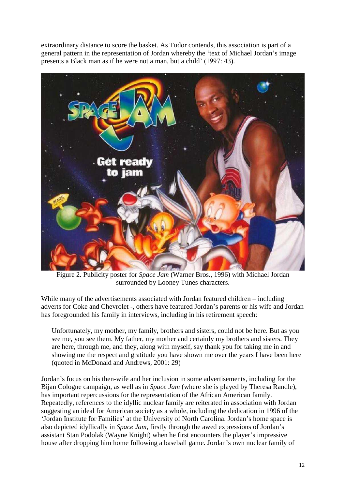extraordinary distance to score the basket. As Tudor contends, this association is part of a general pattern in the representation of Jordan whereby the 'text of Michael Jordan's image presents a Black man as if he were not a man, but a child' (1997: 43).



Figure 2. Publicity poster for *Space Jam* (Warner Bros., 1996) with Michael Jordan surrounded by Looney Tunes characters.

While many of the advertisements associated with Jordan featured children – including adverts for Coke and Chevrolet -, others have featured Jordan's parents or his wife and Jordan has foregrounded his family in interviews, including in his retirement speech:

Unfortunately, my mother, my family, brothers and sisters, could not be here. But as you see me, you see them. My father, my mother and certainly my brothers and sisters. They are here, through me, and they, along with myself, say thank you for taking me in and showing me the respect and gratitude you have shown me over the years I have been here (quoted in McDonald and Andrews, 2001: 29)

Jordan's focus on his then-wife and her inclusion in some advertisements, including for the Bijan Cologne campaign, as well as in *Space Jam* (where she is played by Theresa Randle), has important repercussions for the representation of the African American family. Repeatedly, references to the idyllic nuclear family are reiterated in association with Jordan suggesting an ideal for American society as a whole, including the dedication in 1996 of the 'Jordan Institute for Families' at the University of North Carolina. Jordan's home space is also depicted idyllically in *Space Jam*, firstly through the awed expressions of Jordan's assistant Stan Podolak (Wayne Knight) when he first encounters the player's impressive house after dropping him home following a baseball game. Jordan's own nuclear family of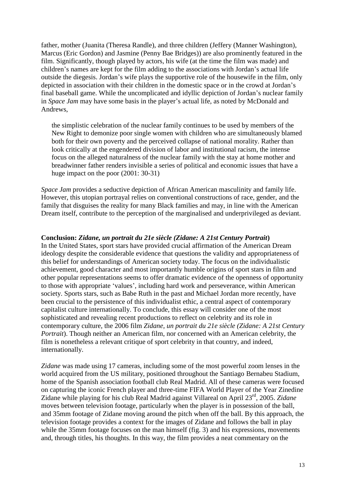father, mother (Juanita (Theresa Randle), and three children (Jeffery (Manner Washington), Marcus (Eric Gordon) and Jasmine (Penny Bae Bridges)) are also prominently featured in the film. Significantly, though played by actors, his wife (at the time the film was made) and children's names are kept for the film adding to the associations with Jordan's actual life outside the diegesis. Jordan's wife plays the supportive role of the housewife in the film, only depicted in association with their children in the domestic space or in the crowd at Jordan's final baseball game. While the uncomplicated and idyllic depiction of Jordan's nuclear family in *Space Jam* may have some basis in the player's actual life, as noted by McDonald and Andrews,

the simplistic celebration of the nuclear family continues to be used by members of the New Right to demonize poor single women with children who are simultaneously blamed both for their own poverty and the perceived collapse of national morality. Rather than look critically at the engendered division of labor and institutional racism, the intense focus on the alleged naturalness of the nuclear family with the stay at home mother and breadwinner father renders invisible a series of political and economic issues that have a huge impact on the poor (2001: 30-31)

*Space Jam* provides a seductive depiction of African American masculinity and family life. However, this utopian portrayal relies on conventional constructions of race, gender, and the family that disguises the reality for many Black families and may, in line with the American Dream itself, contribute to the perception of the marginalised and underprivileged as deviant.

## **Conclusion:** *Zidane, un portrait du 21e siècle (Zidane: A 21st Century Portrait***)**

In the United States, sport stars have provided crucial affirmation of the American Dream ideology despite the considerable evidence that questions the validity and appropriateness of this belief for understandings of American society today. The focus on the individualistic achievement, good character and most importantly humble origins of sport stars in film and other popular representations seems to offer dramatic evidence of the openness of opportunity to those with appropriate 'values', including hard work and perseverance, within American society. Sports stars, such as Babe Ruth in the past and Michael Jordan more recently, have been crucial to the persistence of this individualist ethic, a central aspect of contemporary capitalist culture internationally. To conclude, this essay will consider one of the most sophisticated and revealing recent productions to reflect on celebrity and its role in contemporary culture, the 2006 film *Zidane, un portrait du 21e siècle (Zidane: A 21st Century Portrait*). Though neither an American film, nor concerned with an American celebrity, the film is nonetheless a relevant critique of sport celebrity in that country, and indeed, internationally.

*Zidane* was made using 17 cameras, including some of the most powerful zoom lenses in the world acquired from the US military, positioned throughout the Santiago Bernabeu Stadium, home of the Spanish association football club Real Madrid. All of these cameras were focused on capturing the iconic French player and three-time FIFA World Player of the Year Zinedine Zidane while playing for his club Real Madrid against Villareal on April 23<sup>rd</sup>, 2005. Zidane moves between television footage, particularly when the player is in possession of the ball, and 35mm footage of Zidane moving around the pitch when off the ball. By this approach, the television footage provides a context for the images of Zidane and follows the ball in play while the 35mm footage focuses on the man himself (fig. 3) and his expressions, movements and, through titles, his thoughts. In this way, the film provides a neat commentary on the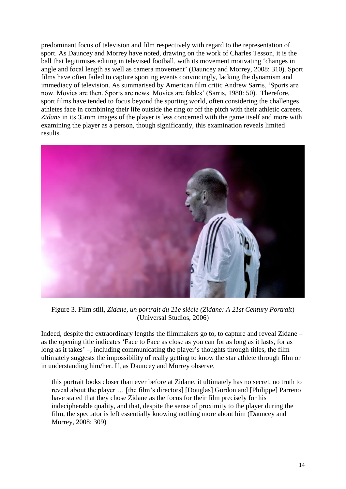predominant focus of television and film respectively with regard to the representation of sport. As Dauncey and Morrey have noted, drawing on the work of Charles Tesson, it is the ball that legitimises editing in televised football, with its movement motivating 'changes in angle and focal length as well as camera movement' (Dauncey and Morrey, 2008: 310). Sport films have often failed to capture sporting events convincingly, lacking the dynamism and immediacy of television. As summarised by American film critic Andrew Sarris, 'Sports are now. Movies are then. Sports are news. Movies are fables' (Sarris, 1980: 50). Therefore, sport films have tended to focus beyond the sporting world, often considering the challenges athletes face in combining their life outside the ring or off the pitch with their athletic careers. *Zidane* in its 35mm images of the player is less concerned with the game itself and more with examining the player as a person, though significantly, this examination reveals limited results.



Figure 3. Film still, *Zidane, un portrait du 21e siècle (Zidane: A 21st Century Portrait*) (Universal Studios, 2006)

Indeed, despite the extraordinary lengths the filmmakers go to, to capture and reveal Zidane – as the opening title indicates 'Face to Face as close as you can for as long as it lasts, for as long as it takes' –, including communicating the player's thoughts through titles, the film ultimately suggests the impossibility of really getting to know the star athlete through film or in understanding him/her. If, as Dauncey and Morrey observe,

this portrait looks closer than ever before at Zidane, it ultimately has no secret, no truth to reveal about the player … [the film's directors] [Douglas] Gordon and [Philippe] Parreno have stated that they chose Zidane as the focus for their film precisely for his indecipherable quality, and that, despite the sense of proximity to the player during the film, the spectator is left essentially knowing nothing more about him (Dauncey and Morrey, 2008: 309)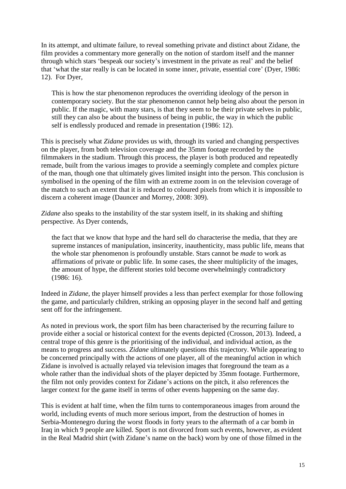In its attempt, and ultimate failure, to reveal something private and distinct about Zidane, the film provides a commentary more generally on the notion of stardom itself and the manner through which stars 'bespeak our society's investment in the private as real' and the belief that 'what the star really is can be located in some inner, private, essential core' (Dyer, 1986: 12). For Dyer,

This is how the star phenomenon reproduces the overriding ideology of the person in contemporary society. But the star phenomenon cannot help being also about the person in public. If the magic, with many stars, is that they seem to be their private selves in public, still they can also be about the business of being in public, the way in which the public self is endlessly produced and remade in presentation (1986: 12).

This is precisely what *Zidane* provides us with, through its varied and changing perspectives on the player, from both television coverage and the 35mm footage recorded by the filmmakers in the stadium. Through this process, the player is both produced and repeatedly remade, built from the various images to provide a seemingly complete and complex picture of the man, though one that ultimately gives limited insight into the person. This conclusion is symbolised in the opening of the film with an extreme zoom in on the television coverage of the match to such an extent that it is reduced to coloured pixels from which it is impossible to discern a coherent image (Dauncer and Morrey, 2008: 309).

*Zidane* also speaks to the instability of the star system itself, in its shaking and shifting perspective. As Dyer contends,

the fact that we know that hype and the hard sell do characterise the media, that they are supreme instances of manipulation, insincerity, inauthenticity, mass public life, means that the whole star phenomenon is profoundly unstable. Stars cannot be *made* to work as affirmations of private or public life. In some cases, the sheer multiplicity of the images, the amount of hype, the different stories told become overwhelmingly contradictory (1986: 16).

Indeed in *Zidane*, the player himself provides a less than perfect exemplar for those following the game, and particularly children, striking an opposing player in the second half and getting sent off for the infringement.

As noted in previous work, the sport film has been characterised by the recurring failure to provide either a social or historical context for the events depicted (Crosson, 2013). Indeed, a central trope of this genre is the prioritising of the individual, and individual action, as the means to progress and success. *Zidane* ultimately questions this trajectory. While appearing to be concerned principally with the actions of one player, all of the meaningful action in which Zidane is involved is actually relayed via television images that foreground the team as a whole rather than the individual shots of the player depicted by 35mm footage. Furthermore, the film not only provides context for Zidane's actions on the pitch, it also references the larger context for the game itself in terms of other events happening on the same day.

This is evident at half time, when the film turns to contemporaneous images from around the world, including events of much more serious import, from the destruction of homes in Serbia-Montenegro during the worst floods in forty years to the aftermath of a car bomb in Iraq in which 9 people are killed. Sport is not divorced from such events, however, as evident in the Real Madrid shirt (with Zidane's name on the back) worn by one of those filmed in the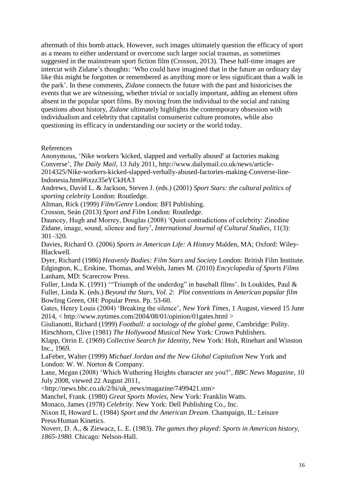aftermath of this bomb attack. However, such images ultimately question the efficacy of sport as a means to either understand or overcome such larger social traumas, as sometimes suggested in the mainstream sport fiction film (Crosson, 2013). These half-time images are intercut with Zidane's thoughts: 'Who could have imagined that in the future an ordinary day like this might be forgotten or remembered as anything more or less significant than a walk in the park'. In these comments, *Zidane* connects the future with the past and historicises the events that we are witnessing, whether trivial or socially important, adding an element often absent in the popular sport films. By moving from the individual to the social and raising questions about history, *Zidane* ultimately highlights the contemporary obsession with individualism and celebrity that capitalist consumerist culture promotes, while also questioning its efficacy in understanding our society or the world today.

### References

Anonymous, 'Nike workers 'kicked, slapped and verbally abused' at factories making Converse', *The Daily Mail*, 13 July 2011, http://www.dailymail.co.uk/news/article-2014325/Nike-workers-kicked-slapped-verbally-abused-factories-making-Converse-line-Indonesia.html#ixzz35eYCkHA3

Andrews, David L. & Jackson, Steven J. (eds.) (2001) *Sport Stars: the cultural politics of sporting celebrity* London: Routledge.

Altman, Rick (1999) *Film/Genre* London: BFI Publishing.

Crosson, Seán (2013) *Sport and Film* London: Routledge.

Dauncey, Hugh and Morrey, Douglas (2008) 'Quiet contradictions of celebrity: Zinedine Zidane, image, sound, silence and fury', *International Journal of Cultural Studies*, 11(3): 301–320.

Davies, Richard O. (2006) *Sports in American Life: A History* Malden, MA; Oxford: Wiley-Blackwell.

Dyer, Richard (1986) *Heavenly Bodies: Film Stars and Society* London: British Film Institute. Edgington, K., Erskine, Thomas, and Welsh, James M. (2010) *Encyclopedia of Sports Films* Lanham, MD: Scarecrow Press.

Fuller, Linda K. (1991) '"Triumph of the underdog" in baseball films'. In Loukides, Paul & Fuller, Linda K. (eds.) *Beyond the Stars, Vol. 2: Plot conventions in American popular film* Bowling Green, OH: Popular Press. Pp. 53-60.

Gates, Henry Louis (2004) 'Breaking the silence', *New York Times*, 1 August, viewed 15 June 2014, < http://www.nytimes.com/2004/08/01/opinion/01gates.html >

Giulianotti, Richard (1999) *Football: a sociology of the global game*, Cambridge: Polity. Hirschhorn, Clive (1981) *The Hollywood Musical* New York: Crown Publishers.

Klapp, Orrin E. (1969) *Collective Search for Identity,* New York: Holt, Rinehart and Winston Inc., 1969.

LaFeber, Walter (1999) *Michael Jordan and the New Global Capitalism* New York and London: W. W. Norton & Company.

Lane, Megan (2008) 'Which Wuthering Heights character are you?', *BBC News Magazine*, 10 July 2008, viewed 22 August 2011,

<http://news.bbc.co.uk/2/hi/uk\_news/magazine/7499421.stm>

Manchel, Frank. (1980) *Great Sports Movies*, New York: Franklin Watts.

Monaco, James (1978) *Celebrity*. New York: Dell Publishing Co., Inc.

Nixon II, Howard L. (1984) *Sport and the American Dream*. Champaign, IL: Leisure Press/Human Kinetics.

Noverr, D. A., & Ziewacz, L. E. (1983). *The games they played: Sports in American history, 1865-1980.* Chicago: Nelson-Hall.